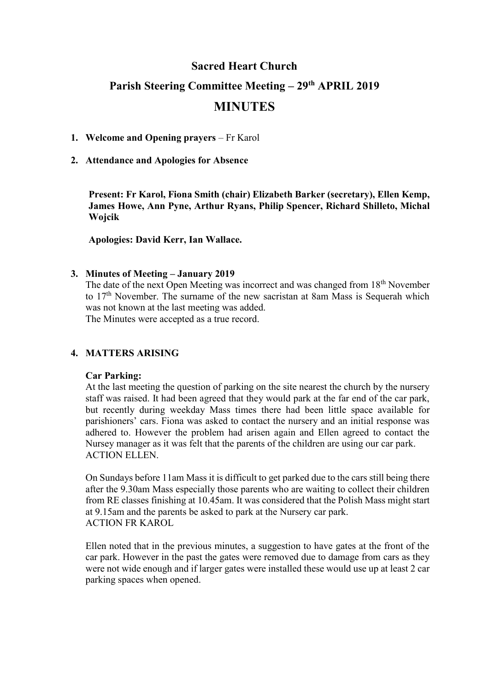## **Sacred Heart Church**

## **Parish Steering Committee Meeting – 29th APRIL 2019**

# **MINUTES**

## **1. Welcome and Opening prayers** – Fr Karol

### **2. Attendance and Apologies for Absence**

**Present: Fr Karol, Fiona Smith (chair) Elizabeth Barker (secretary), Ellen Kemp, James Howe, Ann Pyne, Arthur Ryans, Philip Spencer, Richard Shilleto, Michal Wojcik**

**Apologies: David Kerr, Ian Wallace.**

#### **3. Minutes of Meeting – January 2019**

The date of the next Open Meeting was incorrect and was changed from 18th November to 17<sup>th</sup> November. The surname of the new sacristan at 8am Mass is Sequerah which was not known at the last meeting was added.

The Minutes were accepted as a true record.

## **4. MATTERS ARISING**

#### **Car Parking:**

At the last meeting the question of parking on the site nearest the church by the nursery staff was raised. It had been agreed that they would park at the far end of the car park, but recently during weekday Mass times there had been little space available for parishioners' cars. Fiona was asked to contact the nursery and an initial response was adhered to. However the problem had arisen again and Ellen agreed to contact the Nursey manager as it was felt that the parents of the children are using our car park. ACTION ELLEN.

On Sundays before 11am Mass it is difficult to get parked due to the cars still being there after the 9.30am Mass especially those parents who are waiting to collect their children from RE classes finishing at 10.45am. It was considered that the Polish Mass might start at 9.15am and the parents be asked to park at the Nursery car park. ACTION FR KAROL

Ellen noted that in the previous minutes, a suggestion to have gates at the front of the car park. However in the past the gates were removed due to damage from cars as they were not wide enough and if larger gates were installed these would use up at least 2 car parking spaces when opened.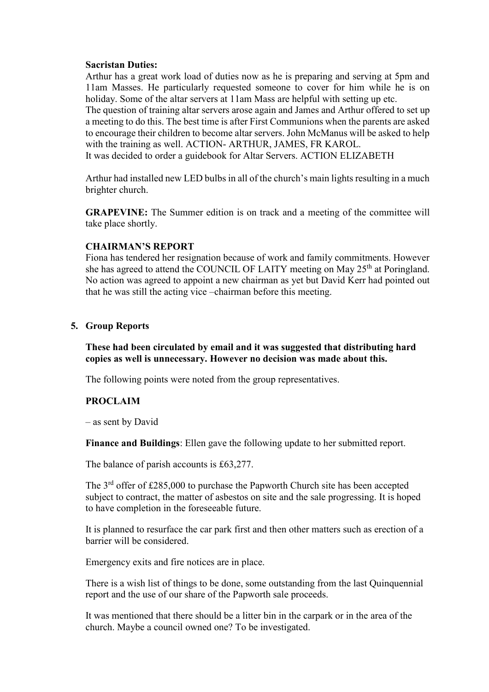#### **Sacristan Duties:**

Arthur has a great work load of duties now as he is preparing and serving at 5pm and 11am Masses. He particularly requested someone to cover for him while he is on holiday. Some of the altar servers at 11am Mass are helpful with setting up etc. The question of training altar servers arose again and James and Arthur offered to set up

a meeting to do this. The best time is after First Communions when the parents are asked to encourage their children to become altar servers. John McManus will be asked to help with the training as well. ACTION- ARTHUR, JAMES, FR KAROL.

It was decided to order a guidebook for Altar Servers. ACTION ELIZABETH

Arthur had installed new LED bulbs in all of the church's main lights resulting in a much brighter church.

**GRAPEVINE:** The Summer edition is on track and a meeting of the committee will take place shortly.

#### **CHAIRMAN'S REPORT**

Fiona has tendered her resignation because of work and family commitments. However she has agreed to attend the COUNCIL OF LAITY meeting on May 25<sup>th</sup> at Poringland. No action was agreed to appoint a new chairman as yet but David Kerr had pointed out that he was still the acting vice –chairman before this meeting.

#### **5. Group Reports**

**These had been circulated by email and it was suggested that distributing hard copies as well is unnecessary. However no decision was made about this.**

The following points were noted from the group representatives.

#### **PROCLAIM**

– as sent by David

**Finance and Buildings**: Ellen gave the following update to her submitted report.

The balance of parish accounts is £63,277.

The 3<sup>rd</sup> offer of £285,000 to purchase the Papworth Church site has been accepted subject to contract, the matter of asbestos on site and the sale progressing. It is hoped to have completion in the foreseeable future.

It is planned to resurface the car park first and then other matters such as erection of a barrier will be considered.

Emergency exits and fire notices are in place.

There is a wish list of things to be done, some outstanding from the last Quinquennial report and the use of our share of the Papworth sale proceeds.

It was mentioned that there should be a litter bin in the carpark or in the area of the church. Maybe a council owned one? To be investigated.